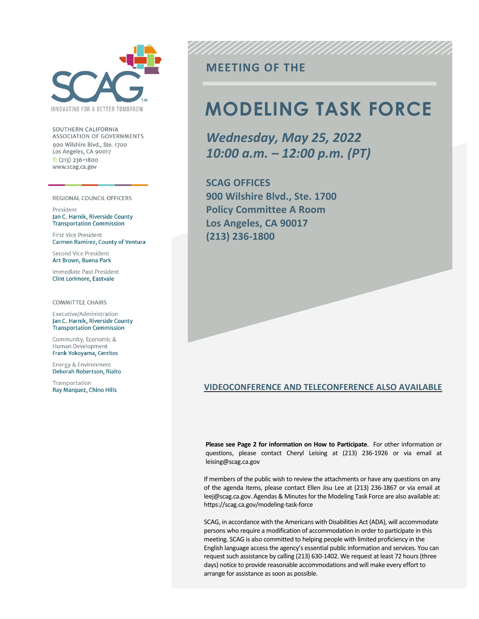

SOUTHERN CALIFORNIA ASSOCIATION OF GOVERNMENTS 900 Wilshire Blvd., Ste. 1700 Los Angeles, CA 90017  $T: (213)$  236-1800 www.scag.ca.gov

REGIONAL COUNCIL OFFICERS

President Jan C. Harnik, Riverside County **Transportation Commission** 

First Vice President Carmen Ramirez, County of Ventura

Second Vice President Art Brown, Buena Park

Immediate Past President **Clint Lorimore, Eastvale** 

**COMMITTEE CHAIRS** 

Executive/Administration Jan C. Harnik, Riverside County **Transportation Commission** 

Community, Economic & Human Development Frank Yokoyama, Cerritos

Energy & Environment Deborah Robertson, Rialto

Transportation Ray Marquez, Chino Hills

# **MEETING OF THE**

# **MODELING TASK FORCE**

*Wednesday, May 25, 2022 10:00 a.m. – 12:00 p.m. (PT)*

**SCAG OFFICES 900 Wilshire Blvd., Ste. 1700 Policy Committee A Room Los Angeles, CA 90017 (213) 236-1800**

#### **VIDEOCONFERENCE AND TELECONFERENCE ALSO AVAILABLE**

**Please see Page 2 for information on How to Participate**. For other information or questions, please contact Cheryl Leising at (213) 236-1926 or via email at leising@scag.ca.gov

If members of the public wish to review the attachments or have any questions on any of the agenda items, please contact Ellen Jisu Lee at (213) 236-1867 or via email at leej@scag.ca.gov. Agendas & Minutes for the Modeling Task Force are also available at: https://scag.ca.gov/modeling-task-force

SCAG, in accordance with the Americans with Disabilities Act (ADA), will accommodate persons who require a modification of accommodation in order to participate in this meeting. SCAG is also committed to helping people with limited proficiency in the English language access the agency's essential public information and services. You can request such assistance by calling (213) 630-1402. We request at least 72 hours (three days) notice to provide reasonable accommodations and will make every effort to arrange for assistance as soon as possible.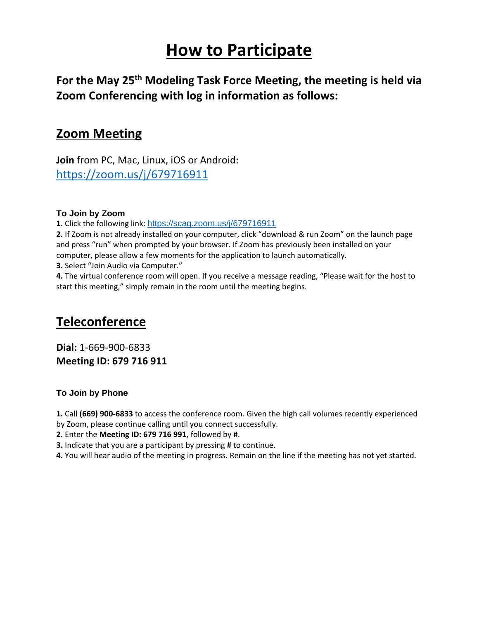# **How to Participate**

**For the May 25th Modeling Task Force Meeting, the meeting is held via Zoom Conferencing with log in information as follows:**

# **Zoom Meeting**

**Join** from PC, Mac, Linux, iOS or Android: <https://zoom.us/j/679716911>

### **To Join by Zoom**

**1.** Click the following link: <https://scag.zoom.us/j/679716911>

**2.** If Zoom is not already installed on your computer, click "download & run Zoom" on the launch page and press "run" when prompted by your browser. If Zoom has previously been installed on your computer, please allow a few moments for the application to launch automatically. **3.** Select "Join Audio via Computer."

**4.** The virtual conference room will open. If you receive a message reading, "Please wait for the host to start this meeting," simply remain in the room until the meeting begins.

# **Teleconference**

**Dial:** 1-669-900-6833 **Meeting ID: 679 716 911**

## **To Join by Phone**

**1.** Call **(669) 900‐6833** to access the conference room. Given the high call volumes recently experienced

by Zoom, please continue calling until you connect successfully.

**2.** Enter the **Meeting ID: 679 716 991**, followed by **#**.

**3.** Indicate that you are a participant by pressing **#** to continue.

**4.** You will hear audio of the meeting in progress. Remain on the line if the meeting has not yet started.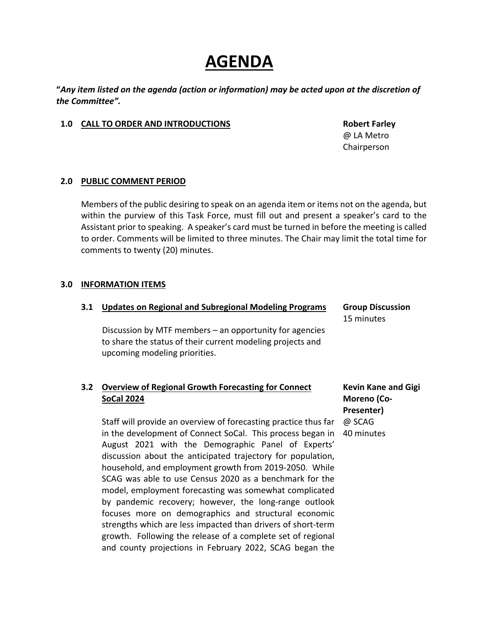# **AGENDA**

**"***Any item listed on the agenda (action or information) may be acted upon at the discretion of the Committee".*

#### **1.0 CALL TO ORDER AND INTRODUCTIONS Robert Farley**

@ LA Metro Chairperson

#### **2.0 PUBLIC COMMENT PERIOD**

Members of the public desiring to speak on an agenda item or items not on the agenda, but within the purview of this Task Force, must fill out and present a speaker's card to the Assistant prior to speaking. A speaker's card must be turned in before the meeting is called to order. Comments will be limited to three minutes. The Chair may limit the total time for comments to twenty (20) minutes.

#### **3.0 INFORMATION ITEMS**

| 3.1 | <b>Updates on Regional and Subregional Modeling Programs</b>                                                                                             | <b>Group Discussion</b> |
|-----|----------------------------------------------------------------------------------------------------------------------------------------------------------|-------------------------|
|     |                                                                                                                                                          | 15 minutes              |
|     | Discussion by MTF members $-$ an opportunity for agencies<br>to share the status of their current modeling projects and<br>upcoming modeling priorities. |                         |

### **3.2 Overview of Regional Growth Forecasting for Connect SoCal 2024**

Staff will provide an overview of forecasting practice thus far in the development of Connect SoCal. This process began in August 2021 with the Demographic Panel of Experts' discussion about the anticipated trajectory for population, household, and employment growth from 2019-2050. While SCAG was able to use Census 2020 as a benchmark for the model, employment forecasting was somewhat complicated by pandemic recovery; however, the long-range outlook focuses more on demographics and structural economic strengths which are less impacted than drivers of short-term growth. Following the release of a complete set of regional and county projections in February 2022, SCAG began the

**Kevin Kane and Gigi Moreno (Co-Presenter)** @ SCAG 40 minutes